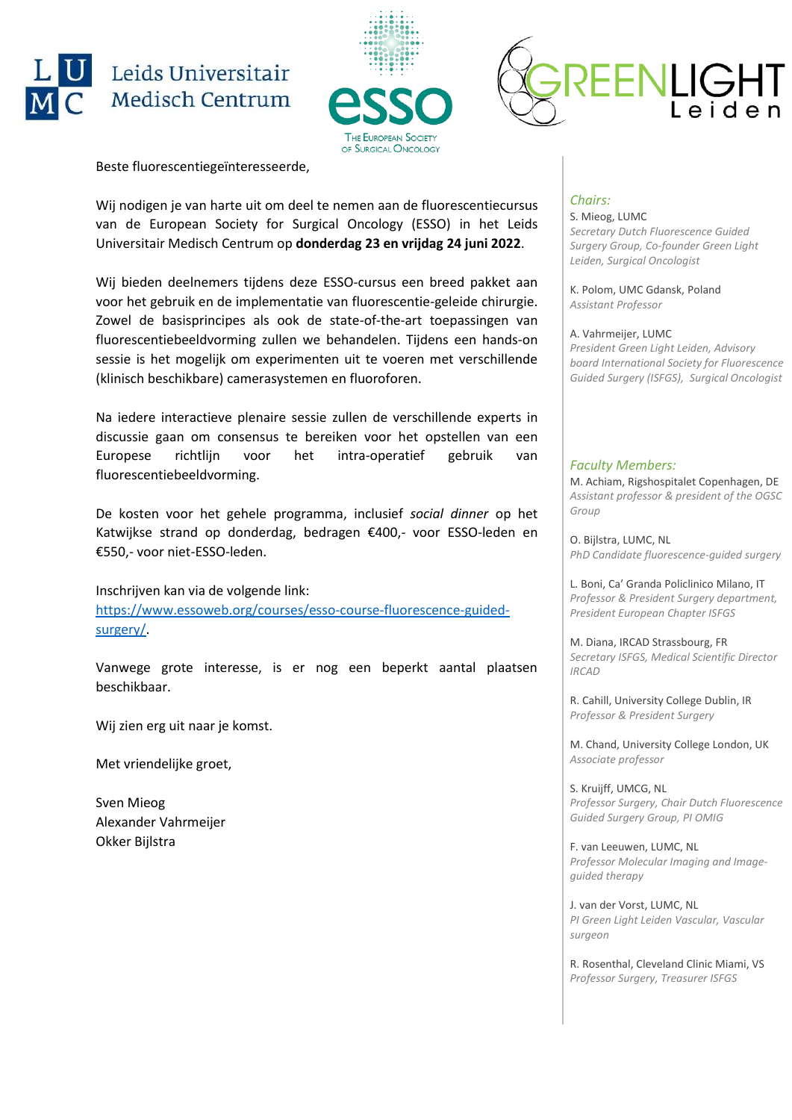





Wij nodigen je van harte uit om deel te nemen aan de fluorescentiecursus van de European Society for Surgical Oncology (ESSO) in het Leids Universitair Medisch Centrum op **donderdag 23 en vrijdag 24 juni 2022**.

Wij bieden deelnemers tijdens deze ESSO-cursus een breed pakket aan voor het gebruik en de implementatie van fluorescentie-geleide chirurgie. Zowel de basisprincipes als ook de state-of-the-art toepassingen van fluorescentiebeeldvorming zullen we behandelen. Tijdens een hands-on sessie is het mogelijk om experimenten uit te voeren met verschillende (klinisch beschikbare) camerasystemen en fluoroforen.

Na iedere interactieve plenaire sessie zullen de verschillende experts in discussie gaan om consensus te bereiken voor het opstellen van een Europese richtlijn voor het intra-operatief gebruik van fluorescentiebeeldvorming.

De kosten voor het gehele programma, inclusief *social dinner* op het Katwijkse strand op donderdag, bedragen €400,- voor ESSO-leden en €550,- voor niet-ESSO-leden.

Inschrijven kan via de volgende link: [https://www.essoweb.org/courses/esso-course-fluorescence-guided](https://www.essoweb.org/courses/esso-course-fluorescence-guided-surgery/)[surgery/.](https://www.essoweb.org/courses/esso-course-fluorescence-guided-surgery/)

Vanwege grote interesse, is er nog een beperkt aantal plaatsen beschikbaar.

Wij zien erg uit naar je komst.

Met vriendelijke groet,

Sven Mieog Alexander Vahrmeijer Okker Bijlstra

#### *Chairs:*

S. Mieog, LUMC *Secretary Dutch Fluorescence Guided Surgery Group, Co-founder Green Light Leiden, Surgical Oncologist*

EENLIG

K. Polom, UMC Gdansk, Poland *Assistant Professor*

A. Vahrmeijer, LUMC *President Green Light Leiden, Advisory board International Society for Fluorescence Guided Surgery (ISFGS), Surgical Oncologist*

#### *Faculty Members:*

M. Achiam, Rigshospitalet Copenhagen, DE *Assistant professor & president of the OGSC Group*

O. Bijlstra, LUMC, NL *PhD Candidate fluorescence-guided surgery*

L. Boni, Ca' Granda Policlinico Milano, IT *Professor & President Surgery department, President European Chapter ISFGS*

M. Diana, IRCAD Strassbourg, FR *Secretary ISFGS, Medical Scientific Director IRCAD*

R. Cahill, University College Dublin, IR *Professor & President Surgery*

M. Chand, University College London, UK *Associate professor*

S. Kruijff, UMCG, NL *Professor Surgery, Chair Dutch Fluorescence Guided Surgery Group, PI OMIG*

F. van Leeuwen, LUMC, NL *Professor Molecular Imaging and Imageguided therapy*

J. van der Vorst, LUMC, NL *PI Green Light Leiden Vascular, Vascular surgeon*

R. Rosenthal, Cleveland Clinic Miami, VS *Professor Surgery, Treasurer ISFGS*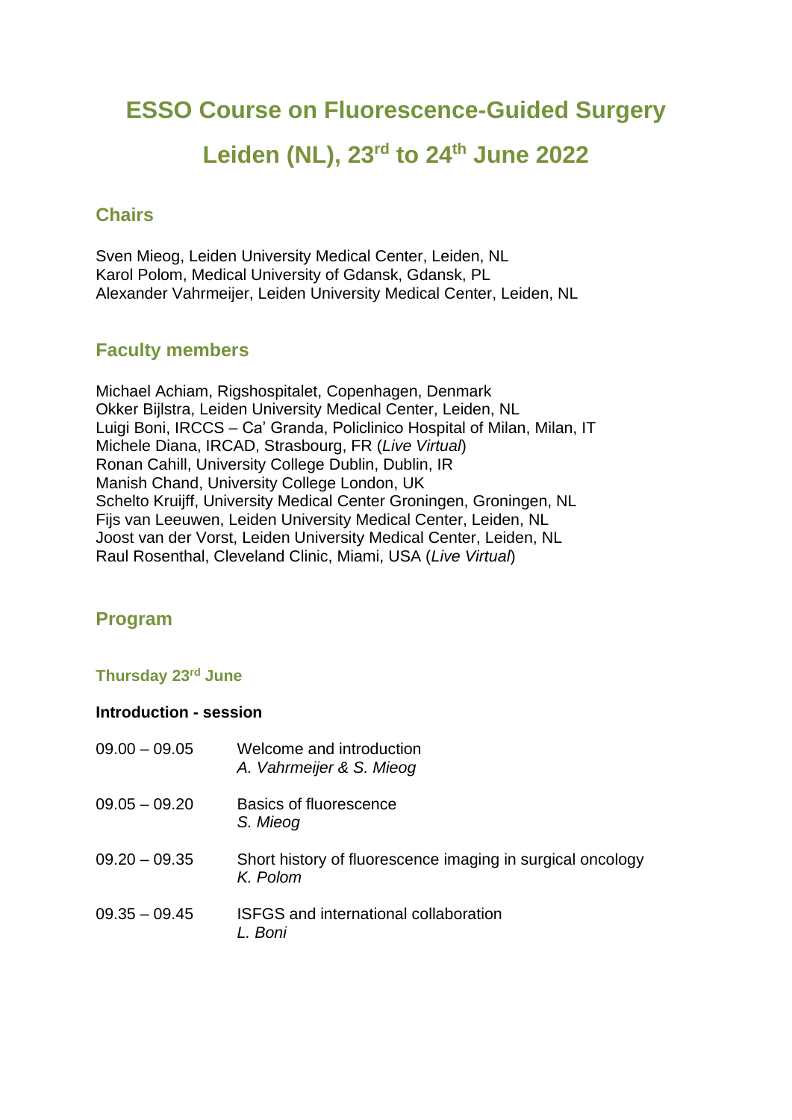# **ESSO Course on Fluorescence-Guided Surgery**

# **Leiden (NL), 23rd to 24th June 2022**

# **Chairs**

Sven Mieog, Leiden University Medical Center, Leiden, NL Karol Polom, Medical University of Gdansk, Gdansk, PL Alexander Vahrmeijer, Leiden University Medical Center, Leiden, NL

## **Faculty members**

Michael Achiam, Rigshospitalet, Copenhagen, Denmark Okker Bijlstra, Leiden University Medical Center, Leiden, NL Luigi Boni, IRCCS – Ca' Granda, Policlinico Hospital of Milan, Milan, IT Michele Diana, IRCAD, Strasbourg, FR (*Live Virtual*) Ronan Cahill, University College Dublin, Dublin, IR Manish Chand, University College London, UK Schelto Kruijff, University Medical Center Groningen, Groningen, NL Fijs van Leeuwen, Leiden University Medical Center, Leiden, NL Joost van der Vorst, Leiden University Medical Center, Leiden, NL Raul Rosenthal, Cleveland Clinic, Miami, USA (*Live Virtual*)

# **Program**

#### **Thursday 23rd June**

#### **Introduction - session**

| $09.00 - 09.05$ | Welcome and introduction<br>A. Vahrmeijer & S. Mieog                   |
|-----------------|------------------------------------------------------------------------|
| $09.05 - 09.20$ | Basics of fluorescence<br>S. Mieog                                     |
| $09.20 - 09.35$ | Short history of fluorescence imaging in surgical oncology<br>K. Polom |
| $09.35 - 09.45$ | <b>ISFGS</b> and international collaboration<br>L. Boni                |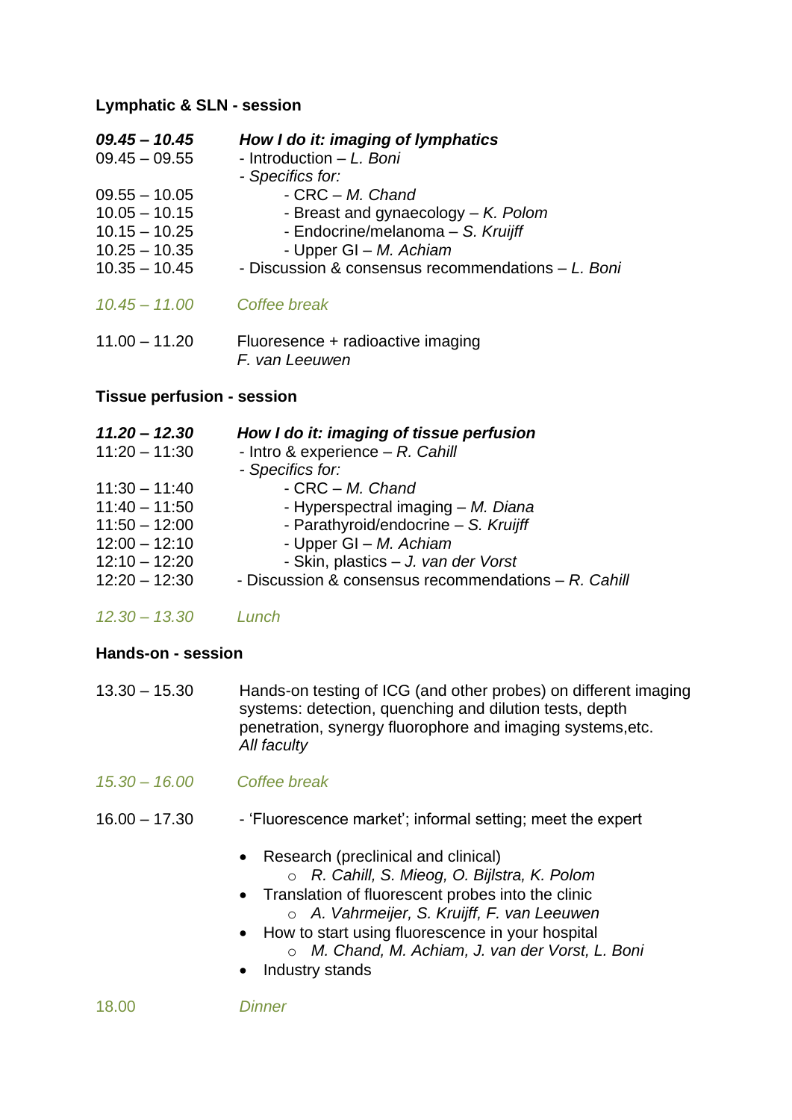#### **Lymphatic & SLN - session**

| $09.45 - 10.45$<br>$09.45 - 09.55$<br>$09.55 - 10.05$<br>$10.05 - 10.15$<br>$10.15 - 10.25$<br>$10.25 - 10.35$<br>$10.35 - 10.45$<br>$10.45 - 11.00$<br>$11.00 - 11.20$ | How I do it: imaging of lymphatics<br>- Introduction – L. Boni<br>- Specifics for:<br>$-$ CRC $-$ M. Chand<br>- Breast and gynaecology $-$ K. Polom<br>- Endocrine/melanoma - S. Kruijff<br>- Upper GI – M. Achiam<br>- Discussion & consensus recommendations - L. Boni<br>Coffee break<br>Fluoresence + radioactive imaging<br>F. van Leeuwen |
|-------------------------------------------------------------------------------------------------------------------------------------------------------------------------|-------------------------------------------------------------------------------------------------------------------------------------------------------------------------------------------------------------------------------------------------------------------------------------------------------------------------------------------------|
| <b>Tissue perfusion - session</b>                                                                                                                                       |                                                                                                                                                                                                                                                                                                                                                 |
| 11.20 - 12.30                                                                                                                                                           | How I do it: imaging of tissue perfusion                                                                                                                                                                                                                                                                                                        |

| $11:20 - 11:30$ | - Intro & experience $- R$ . Cahill                     |
|-----------------|---------------------------------------------------------|
|                 | - Specifics for:                                        |
| $11:30 - 11:40$ | $-$ CRC $-$ M. Chand                                    |
| $11:40 - 11:50$ | - Hyperspectral imaging - M. Diana                      |
| $11:50 - 12:00$ | - Parathyroid/endocrine - S. Kruijff                    |
| $12:00 - 12:10$ | - Upper GI - M. Achiam                                  |
| $12:10 - 12:20$ | - Skin, plastics - J. van der Vorst                     |
| $12:20 - 12:30$ | - Discussion & consensus recommendations $- R$ . Cahill |
|                 |                                                         |

*12.30 – 13.30 Lunch*

#### **Hands-on - session**

| $13.30 - 15.30$ | Hands-on testing of ICG (and other probes) on different imaging |
|-----------------|-----------------------------------------------------------------|
|                 | systems: detection, quenching and dilution tests, depth         |
|                 | penetration, synergy fluorophore and imaging systems, etc.      |
|                 | All faculty                                                     |

- *15.30 – 16.00 Coffee break*
- 16.00 17.30 'Fluorescence market'; informal setting; meet the expert
	- Research (preclinical and clinical)
		- o *R. Cahill, S. Mieog, O. Bijlstra, K. Polom*
	- Translation of fluorescent probes into the clinic o *A. Vahrmeijer, S. Kruijff, F. van Leeuwen*
	- How to start using fluorescence in your hospital o *M. Chand, M. Achiam, J. van der Vorst, L. Boni*
	- Industry stands

18.00 *Dinner*